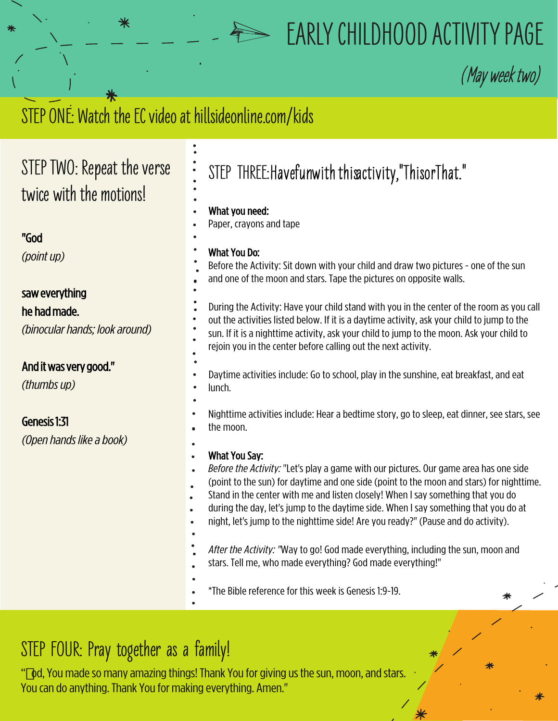# **EARLY CHILDHOOD ACTIVITY PAGE**

**(**May week two)

## STEP ONE: Watch the EC video at hillsideonline.com/kids

### **STEP TWO: Repeat the verse twice with the motions!**

### "God

*(pointup)*

### saw everything

#### he had made.

*(binocular hands; look around)* 

#### And it was very good."

*(thumbsup)*

### Genesis 1:31

*(Openhandslikeabook)* 

### STEP THREE: Havefunwith thisactivity, "Thisor That."

#### What you need:

Paper, crayons and tape

#### What You Do:

Before the Activity: Sit down with your child and draw two pictures - one of the sun and one of the moon and stars. Tape the pictures on opposite walls.

During the Activity: Have your child stand with you in the center of the room as you call out the activities listed below. If it is a daytime activity, ask your child to jump to the sun. If it is a nighttime activity, ask your child to jump to the moon. Ask your child to rejoin you in the center before calling out the next activity.

- Daytime activities include: Go to school, play in the sunshine, eat breakfast, and eat lunch.
- Nighttime activities include: Hear a bedtime story, go to sleep, eat dinner, see stars, see the moon.
- What You Say:
- *Before the Activity:* "Let's play a game with our pictures. Our game area has one side
- (point to the sun) for daytime and one side (point to the moon and stars) for nighttime.
- Stand in the center with me and listen closely! When I say something that you do
- during the day, let's jump to the daytime side. When I say something that you do at
- night, let's jump to the nighttime side! Are you ready?" (Pause and do activity).
- 
- *After the Activity: "*Way to go! God made everything, including the sun, moon and
- stars. Tell me, who made everything? God made everything!"
- - \*The Bible reference for this week is Genesis 1:9-19.

### **STEP FOUR: Pray together as a family!**

" od, You made so many amazing things! Thank You for giving us the sun, moon, and stars. You can do anything. Thank You for making everything. Amen."